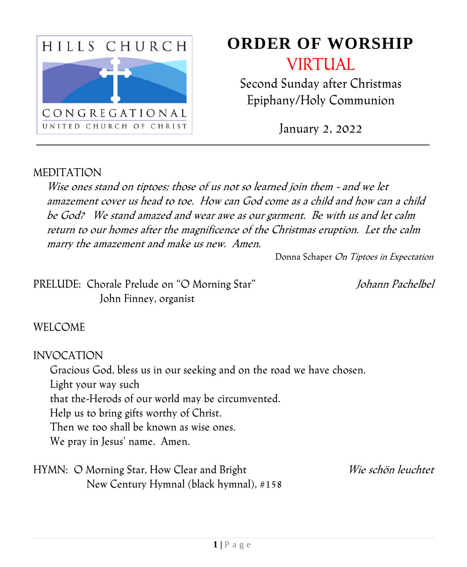

# **ORDER OF WORSHIP**

VIRTUAL

Second Sunday after Christmas Epiphany/Holy Communion

January 2, 2022

#### MEDITATION

Wise ones stand on tiptoes; those of us not so learned join them - and we let amazement cover us head to toe. How can God come as a child and how can a child be God? We stand amazed and wear awe as our garment. Be with us and let calm return to our homes after the magnificence of the Christmas eruption. Let the calm marry the amazement and make us new. Amen.

Donna Schaper On Tiptoes in Expectation

PRELUDE: Chorale Prelude on "O Morning Star" Johann Pachelbel John Finney, organist

#### WELCOME

INVOCATION

Gracious God, bless us in our seeking and on the road we have chosen.

Light your way such

that the-Herods of our world may be circumvented.

Help us to bring gifts worthy of Christ.

Then we too shall be known as wise ones.

We pray in Jesus' name. Amen.

HYMN: O Morning Star, How Clear and Bright Wie schön leuchtet New Century Hymnal (black hymnal), #158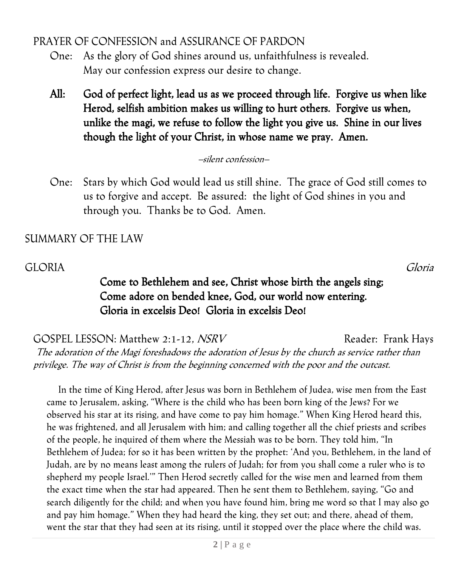PRAYER OF CONFESSION and ASSURANCE OF PARDON

- One: As the glory of God shines around us, unfaithfulness is revealed. May our confession express our desire to change.
- All: God of perfect light, lead us as we proceed through life. Forgive us when like Herod, selfish ambition makes us willing to hurt others. Forgive us when, unlike the magi, we refuse to follow the light you give us. Shine in our lives though the light of your Christ, in whose name we pray. Amen.

–silent confession–

One: Stars by which God would lead us still shine. The grace of God still comes to us to forgive and accept. Be assured: the light of God shines in you and through you. Thanks be to God. Amen.

#### SUMMARY OF THE LAW

#### GLORIA Gloria

### Come to Bethlehem and see, Christ whose birth the angels sing; Come adore on bended knee, God, our world now entering. Gloria in excelsis Deo! Gloria in excelsis Deo!

GOSPEL LESSON: Matthew 2:1-12, NSRV Reader: Frank Hays The adoration of the Magi foreshadows the adoration of Jesus by the church as service rather than privilege. The way of Christ is from the beginning concerned with the poor and the outcast.

In the time of King Herod, after Jesus was born in Bethlehem of Judea, wise men from the East came to Jerusalem, asking, "Where is the child who has been born king of the Jews? For we observed his star at its rising, and have come to pay him homage." When King Herod heard this, he was frightened, and all Jerusalem with him; and calling together all the chief priests and scribes of the people, he inquired of them where the Messiah was to be born. They told him, "In Bethlehem of Judea; for so it has been written by the prophet: 'And you, Bethlehem, in the land of Judah, are by no means least among the rulers of Judah; for from you shall come a ruler who is to shepherd my people Israel.'" Then Herod secretly called for the wise men and learned from them the exact time when the star had appeared. Then he sent them to Bethlehem, saying, "Go and search diligently for the child; and when you have found him, bring me word so that I may also go and pay him homage." When they had heard the king, they set out; and there, ahead of them, went the star that they had seen at its rising, until it stopped over the place where the child was.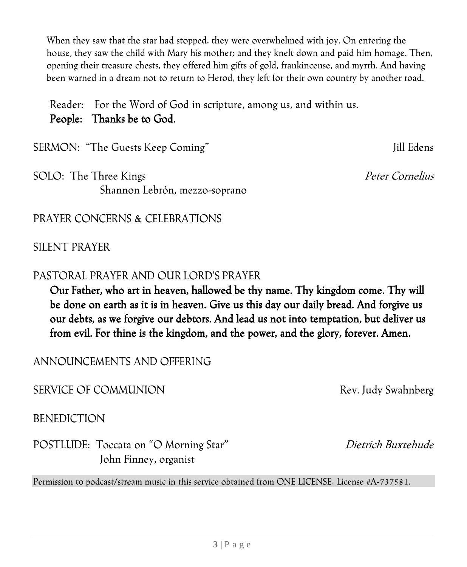When they saw that the star had stopped, they were overwhelmed with joy. On entering the house, they saw the child with Mary his mother; and they knelt down and paid him homage. Then, opening their treasure chests, they offered him gifts of gold, frankincense, and myrrh. And having been warned in a dream not to return to Herod, they left for their own country by another road.

Reader: For the Word of God in scripture, among us, and within us. People: Thanks be to God.

SERMON: "The Guests Keep Coming" Jill Edens

SOLO: The Three Kings Peter Cornelius Shannon Lebrón, mezzo-soprano

PRAYER CONCERNS & CELEBRATIONS

SILENT PRAYER

#### PASTORAL PRAYER AND OUR LORD'S PRAYER

Our Father, who art in heaven, hallowed be thy name. Thy kingdom come. Thy will be done on earth as it is in heaven. Give us this day our daily bread. And forgive us our debts, as we forgive our debtors. And lead us not into temptation, but deliver us from evil. For thine is the kingdom, and the power, and the glory, forever. Amen.

ANNOUNCEMENTS AND OFFERING

SERVICE OF COMMUNION Rev. Judy Swahnberg

**BENEDICTION** 

POSTLUDE: Toccata on "O Morning Star" Dietrich Buxtehude John Finney, organist

Permission to podcast/stream music in this service obtained from ONE LICENSE, License #A-737581.